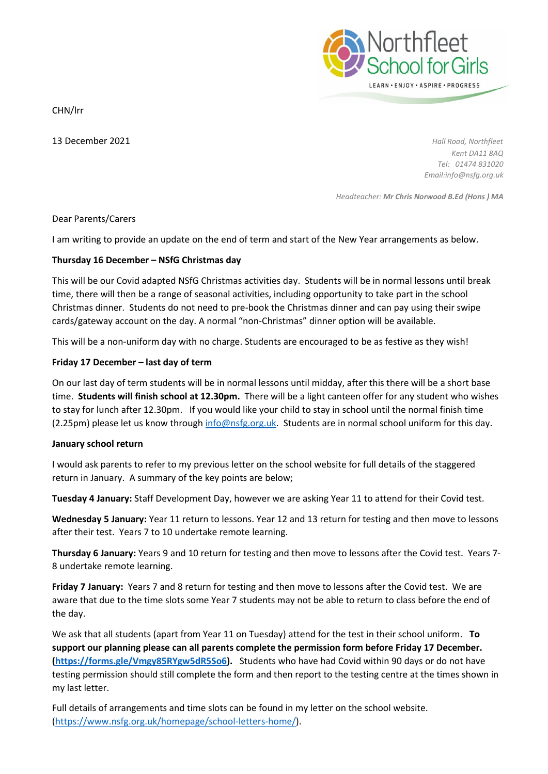CHN/lrr

13 December 2021 *Hall Road, Northfleet Kent DA11 8AQ Tel: 01474 831020 Email:info@nsfg.org.uk*

*Headteacher: Mr Chris Norwood B.Ed (Hons ) MA*

N<mark>orthfleet</mark><br>School for Girls

LEARN . ENJOY . ASPIRE . PROGRESS

# Dear Parents/Carers

I am writing to provide an update on the end of term and start of the New Year arrangements as below.

# **Thursday 16 December – NSfG Christmas day**

This will be our Covid adapted NSfG Christmas activities day. Students will be in normal lessons until break time, there will then be a range of seasonal activities, including opportunity to take part in the school Christmas dinner. Students do not need to pre-book the Christmas dinner and can pay using their swipe cards/gateway account on the day. A normal "non-Christmas" dinner option will be available.

This will be a non-uniform day with no charge. Students are encouraged to be as festive as they wish!

# **Friday 17 December – last day of term**

On our last day of term students will be in normal lessons until midday, after this there will be a short base time. **Students will finish school at 12.30pm.** There will be a light canteen offer for any student who wishes to stay for lunch after 12.30pm. If you would like your child to stay in school until the normal finish time (2.25pm) please let us know through [info@nsfg.org.uk.](mailto:info@nsfg.org.uk) Students are in normal school uniform for this day.

### **January school return**

I would ask parents to refer to my previous letter on the school website for full details of the staggered return in January. A summary of the key points are below;

**Tuesday 4 January:** Staff Development Day, however we are asking Year 11 to attend for their Covid test.

**Wednesday 5 January:** Year 11 return to lessons. Year 12 and 13 return for testing and then move to lessons after their test. Years 7 to 10 undertake remote learning.

**Thursday 6 January:** Years 9 and 10 return for testing and then move to lessons after the Covid test. Years 7- 8 undertake remote learning.

**Friday 7 January:** Years 7 and 8 return for testing and then move to lessons after the Covid test. We are aware that due to the time slots some Year 7 students may not be able to return to class before the end of the day.

We ask that all students (apart from Year 11 on Tuesday) attend for the test in their school uniform. **To support our planning please can all parents complete the permission form before Friday 17 December. [\(https://forms.gle/Vmgy85RYgw5dR5So6\)](https://forms.gle/Vmgy85RYgw5dR5So6).** Students who have had Covid within 90 days or do not have testing permission should still complete the form and then report to the testing centre at the times shown in my last letter.

Full details of arrangements and time slots can be found in my letter on the school website. [\(https://www.nsfg.org.uk/homepage/school-letters-home/\)](https://www.nsfg.org.uk/homepage/school-letters-home/).